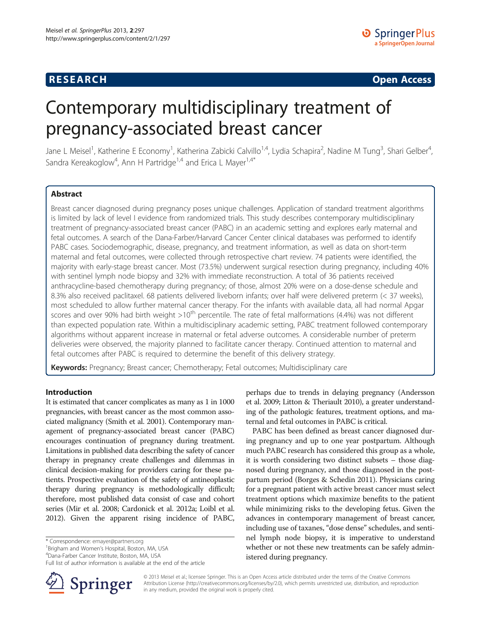## **RESEARCH RESEARCH CONSUMING ACCESS**

# Contemporary multidisciplinary treatment of pregnancy-associated breast cancer

Jane L Meisel<sup>1</sup>, Katherine E Economy<sup>1</sup>, Katherina Zabicki Calvillo<sup>1,4</sup>, Lydia Schapira<sup>2</sup>, Nadine M Tung<sup>3</sup>, Shari Gelber<sup>4</sup> , Sandra Kereakoglow<sup>4</sup>, Ann H Partridge<sup>1,4</sup> and Erica L Mayer<sup>1,4\*</sup>

### Abstract

Breast cancer diagnosed during pregnancy poses unique challenges. Application of standard treatment algorithms is limited by lack of level I evidence from randomized trials. This study describes contemporary multidisciplinary treatment of pregnancy-associated breast cancer (PABC) in an academic setting and explores early maternal and fetal outcomes. A search of the Dana-Farber/Harvard Cancer Center clinical databases was performed to identify PABC cases. Sociodemographic, disease, pregnancy, and treatment information, as well as data on short-term maternal and fetal outcomes, were collected through retrospective chart review. 74 patients were identified, the majority with early-stage breast cancer. Most (73.5%) underwent surgical resection during pregnancy, including 40% with sentinel lymph node biopsy and 32% with immediate reconstruction. A total of 36 patients received anthracycline-based chemotherapy during pregnancy; of those, almost 20% were on a dose-dense schedule and 8.3% also received paclitaxel. 68 patients delivered liveborn infants; over half were delivered preterm (< 37 weeks), most scheduled to allow further maternal cancer therapy. For the infants with available data, all had normal Apgar scores and over 90% had birth weight  $>10^{th}$  percentile. The rate of fetal malformations (4.4%) was not different than expected population rate. Within a multidisciplinary academic setting, PABC treatment followed contemporary algorithms without apparent increase in maternal or fetal adverse outcomes. A considerable number of preterm deliveries were observed, the majority planned to facilitate cancer therapy. Continued attention to maternal and fetal outcomes after PABC is required to determine the benefit of this delivery strategy.

Keywords: Pregnancy; Breast cancer; Chemotherapy; Fetal outcomes; Multidisciplinary care

#### Introduction

It is estimated that cancer complicates as many as 1 in 1000 pregnancies, with breast cancer as the most common associated malignancy (Smith et al. [2001\)](#page-6-0). Contemporary management of pregnancy-associated breast cancer (PABC) encourages continuation of pregnancy during treatment. Limitations in published data describing the safety of cancer therapy in pregnancy create challenges and dilemmas in clinical decision-making for providers caring for these patients. Prospective evaluation of the safety of antineoplastic therapy during pregnancy is methodologically difficult; therefore, most published data consist of case and cohort series (Mir et al. [2008](#page-6-0); Cardonick et al. [2012a;](#page-6-0) Loibl et al. [2012\)](#page-6-0). Given the apparent rising incidence of PABC,

Full list of author information is available at the end of the article



perhaps due to trends in delaying pregnancy (Andersson et al. [2009](#page-5-0); Litton & Theriault [2010](#page-6-0)), a greater understanding of the pathologic features, treatment options, and maternal and fetal outcomes in PABC is critical.

PABC has been defined as breast cancer diagnosed during pregnancy and up to one year postpartum. Although much PABC research has considered this group as a whole, it is worth considering two distinct subsets – those diagnosed during pregnancy, and those diagnosed in the postpartum period (Borges & Schedin [2011](#page-6-0)). Physicians caring for a pregnant patient with active breast cancer must select treatment options which maximize benefits to the patient while minimizing risks to the developing fetus. Given the advances in contemporary management of breast cancer, including use of taxanes, "dose dense" schedules, and sentinel lymph node biopsy, it is imperative to understand whether or not these new treatments can be safely administered during pregnancy.

© 2013 Meisel et al.; licensee Springer. This is an Open Access article distributed under the terms of the Creative Commons Attribution License [\(http://creativecommons.org/licenses/by/2.0\)](http://creativecommons.org/licenses/by/2.0), which permits unrestricted use, distribution, and reproduction in any medium, provided the original work is properly cited.

<sup>\*</sup> Correspondence: [emayer@partners.org](mailto:emayer@partners.org) <sup>1</sup>

<sup>&</sup>lt;sup>1</sup>Brigham and Women's Hospital, Boston, MA, USA

Dana-Farber Cancer Institute, Boston, MA, USA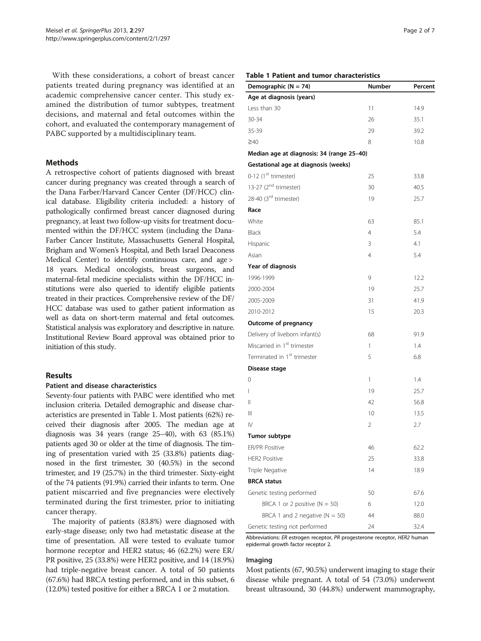With these considerations, a cohort of breast cancer patients treated during pregnancy was identified at an academic comprehensive cancer center. This study examined the distribution of tumor subtypes, treatment decisions, and maternal and fetal outcomes within the cohort, and evaluated the contemporary management of PABC supported by a multidisciplinary team.

#### **Methods**

A retrospective cohort of patients diagnosed with breast cancer during pregnancy was created through a search of the Dana Farber/Harvard Cancer Center (DF/HCC) clinical database. Eligibility criteria included: a history of pathologically confirmed breast cancer diagnosed during pregnancy, at least two follow-up visits for treatment documented within the DF/HCC system (including the Dana-Farber Cancer Institute, Massachusetts General Hospital, Brigham and Women's Hospital, and Beth Israel Deaconess Medical Center) to identify continuous care, and age > 18 years. Medical oncologists, breast surgeons, and maternal-fetal medicine specialists within the DF/HCC institutions were also queried to identify eligible patients treated in their practices. Comprehensive review of the DF/ HCC database was used to gather patient information as well as data on short-term maternal and fetal outcomes. Statistical analysis was exploratory and descriptive in nature. Institutional Review Board approval was obtained prior to initiation of this study.

#### Results

#### Patient and disease characteristics

Seventy-four patients with PABC were identified who met inclusion criteria. Detailed demographic and disease characteristics are presented in Table 1. Most patients (62%) received their diagnosis after 2005. The median age at diagnosis was 34 years (range 25–40), with 63 (85.1%) patients aged 30 or older at the time of diagnosis. The timing of presentation varied with 25 (33.8%) patients diagnosed in the first trimester, 30 (40.5%) in the second trimester, and 19 (25.7%) in the third trimester. Sixty-eight of the 74 patients (91.9%) carried their infants to term. One patient miscarried and five pregnancies were electively terminated during the first trimester, prior to initiating cancer therapy.

The majority of patients (83.8%) were diagnosed with early-stage disease; only two had metastatic disease at the time of presentation. All were tested to evaluate tumor hormone receptor and HER2 status; 46 (62.2%) were ER/ PR positive, 25 (33.8%) were HER2 positive, and 14 (18.9%) had triple-negative breast cancer. A total of 50 patients (67.6%) had BRCA testing performed, and in this subset, 6 (12.0%) tested positive for either a BRCA 1 or 2 mutation.

#### Table 1 Patient and tumor characteristics

| Demographic $(N = 74)$                    | <b>Number</b>  | Percent |
|-------------------------------------------|----------------|---------|
| Age at diagnosis (years)                  |                |         |
| Less than 30                              | 11             | 14.9    |
| $30 - 34$                                 | 26             | 35.1    |
| 35-39                                     | 29             | 39.2    |
| $\geq 40$                                 | 8              | 10.8    |
| Median age at diagnosis: 34 (range 25-40) |                |         |
| Gestational age at diagnosis (weeks)      |                |         |
| 0-12 (1 <sup>st</sup> trimester)          | 25             | 33.8    |
| 13-27 (2 <sup>nd</sup> trimester)         | 30             | 40.5    |
| 28-40 (3 <sup>rd</sup> trimester)         | 19             | 25.7    |
| Race                                      |                |         |
| White                                     | 63             | 85.1    |
| Black                                     | $\overline{4}$ | 5.4     |
| Hispanic                                  | 3              | 4.1     |
| Asian                                     | 4              | 5.4     |
| Year of diagnosis                         |                |         |
| 1996-1999                                 | 9              | 12.2    |
| 2000-2004                                 | 19             | 25.7    |
| 2005-2009                                 | 31             | 41.9    |
| 2010-2012                                 | 15             | 20.3    |
| Outcome of pregnancy                      |                |         |
| Delivery of liveborn infant(s)            | 68             | 91.9    |
| Miscarried in 1 <sup>st</sup> trimester   | 1              | 1.4     |
| Terminated in 1 <sup>st</sup> trimester   | 5              | 6.8     |
| Disease stage                             |                |         |
| 0                                         | 1              | 1.4     |
| L                                         | 19             | 25.7    |
| $\mathbf{  }$                             | 42             | 56.8    |
| Ш                                         | 10             | 13.5    |
| $\mathsf{IV}$                             | 2              | 2.7     |
| Tumor subtype                             |                |         |
| ER/PR Positive                            | 46             | 62.2    |
| <b>HER2 Positive</b>                      | 25             | 33.8    |
| Triple Negative                           | 14             | 18.9    |
| <b>BRCA</b> status                        |                |         |
| Genetic testing performed                 | 50             | 67.6    |
| BRCA 1 or 2 positive ( $N = 50$ )         | 6              | 12.0    |
| BRCA 1 and 2 negative ( $N = 50$ )        | 44             | 88.0    |
| Genetic testing not performed             | 24             | 32.4    |

Abbreviations: ER estrogen receptor, PR progesterone receptor, HER2 human epidermal growth factor receptor 2.

#### Imaging

Most patients (67, 90.5%) underwent imaging to stage their disease while pregnant. A total of 54 (73.0%) underwent breast ultrasound, 30 (44.8%) underwent mammography,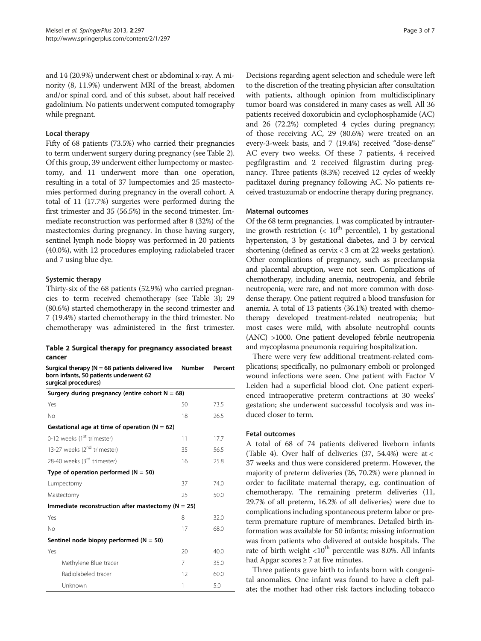and 14 (20.9%) underwent chest or abdominal x-ray. A minority (8, 11.9%) underwent MRI of the breast, abdomen and/or spinal cord, and of this subset, about half received gadolinium. No patients underwent computed tomography while pregnant.

#### Local therapy

Fifty of 68 patients (73.5%) who carried their pregnancies to term underwent surgery during pregnancy (see Table 2). Of this group, 39 underwent either lumpectomy or mastectomy, and 11 underwent more than one operation, resulting in a total of 37 lumpectomies and 25 mastectomies performed during pregnancy in the overall cohort. A total of 11 (17.7%) surgeries were performed during the first trimester and 35 (56.5%) in the second trimester. Immediate reconstruction was performed after 8 (32%) of the mastectomies during pregnancy. In those having surgery, sentinel lymph node biopsy was performed in 20 patients (40.0%), with 12 procedures employing radiolabeled tracer and 7 using blue dye.

#### Systemic therapy

Thirty-six of the 68 patients (52.9%) who carried pregnancies to term received chemotherapy (see Table [3\)](#page-3-0); 29 (80.6%) started chemotherapy in the second trimester and 7 (19.4%) started chemotherapy in the third trimester. No chemotherapy was administered in the first trimester.

Table 2 Surgical therapy for pregnancy associated breast cancer

| Surgical therapy ( $N = 68$ patients delivered live<br>born infants, 50 patients underwent 62<br>surgical procedures) | <b>Number</b> | Percent |
|-----------------------------------------------------------------------------------------------------------------------|---------------|---------|
| Surgery during pregnancy (entire cohort $N = 68$ )                                                                    |               |         |
| Yes                                                                                                                   | 50            | 73.5    |
| No                                                                                                                    | 18            | 26.5    |
| Gestational age at time of operation ( $N = 62$ )                                                                     |               |         |
| 0-12 weeks (1 <sup>st</sup> trimester)                                                                                | 11            | 17.7    |
| 13-27 weeks (2 <sup>nd</sup> trimester)                                                                               | 35            | 56.5    |
| 28-40 weeks (3 <sup>rd</sup> trimester)                                                                               | 16            | 25.8    |
| Type of operation performed ( $N = 50$ )                                                                              |               |         |
| Lumpectomy                                                                                                            | 37            | 74.0    |
| Mastectomy                                                                                                            | 25            | 50.0    |
| Immediate reconstruction after mastectomy ( $N = 25$ )                                                                |               |         |
| Yes                                                                                                                   | 8             | 32.0    |
| No                                                                                                                    | 17            | 68.0    |
| Sentinel node biopsy performed ( $N = 50$ )                                                                           |               |         |
| Yes                                                                                                                   | 20            | 40.0    |
| Methylene Blue tracer                                                                                                 | 7             | 35.0    |
| Radiolabeled tracer                                                                                                   | 12            | 60.0    |
| Unknown                                                                                                               | 1             | 5.0     |

Decisions regarding agent selection and schedule were left to the discretion of the treating physician after consultation with patients, although opinion from multidisciplinary tumor board was considered in many cases as well. All 36 patients received doxorubicin and cyclophosphamide (AC) and 26 (72.2%) completed 4 cycles during pregnancy; of those receiving AC, 29 (80.6%) were treated on an every-3-week basis, and 7 (19.4%) received "dose-dense" AC every two weeks. Of these 7 patients, 4 received pegfilgrastim and 2 received filgrastim during pregnancy. Three patients (8.3%) received 12 cycles of weekly paclitaxel during pregnancy following AC. No patients received trastuzumab or endocrine therapy during pregnancy.

#### Maternal outcomes

Of the 68 term pregnancies, 1 was complicated by intrauterine growth restriction (<  $10^{th}$  percentile), 1 by gestational hypertension, 3 by gestational diabetes, and 3 by cervical shortening (defined as cervix < 3 cm at 22 weeks gestation). Other complications of pregnancy, such as preeclampsia and placental abruption, were not seen. Complications of chemotherapy, including anemia, neutropenia, and febrile neutropenia, were rare, and not more common with dosedense therapy. One patient required a blood transfusion for anemia. A total of 13 patients (36.1%) treated with chemotherapy developed treatment-related neutropenia; but most cases were mild, with absolute neutrophil counts (ANC) >1000. One patient developed febrile neutropenia and mycoplasma pneumonia requiring hospitalization.

There were very few additional treatment-related complications; specifically, no pulmonary emboli or prolonged wound infections were seen. One patient with Factor V Leiden had a superficial blood clot. One patient experienced intraoperative preterm contractions at 30 weeks' gestation; she underwent successful tocolysis and was induced closer to term.

#### Fetal outcomes

A total of 68 of 74 patients delivered liveborn infants (Table [4](#page-4-0)). Over half of deliveries (37, 54.4%) were at < 37 weeks and thus were considered preterm. However, the majority of preterm deliveries (26, 70.2%) were planned in order to facilitate maternal therapy, e.g. continuation of chemotherapy. The remaining preterm deliveries (11, 29.7% of all preterm, 16.2% of all deliveries) were due to complications including spontaneous preterm labor or preterm premature rupture of membranes. Detailed birth information was available for 50 infants; missing information was from patients who delivered at outside hospitals. The rate of birth weight  $< 10<sup>th</sup>$  percentile was 8.0%. All infants had Apgar scores  $\geq 7$  at five minutes.

Three patients gave birth to infants born with congenital anomalies. One infant was found to have a cleft palate; the mother had other risk factors including tobacco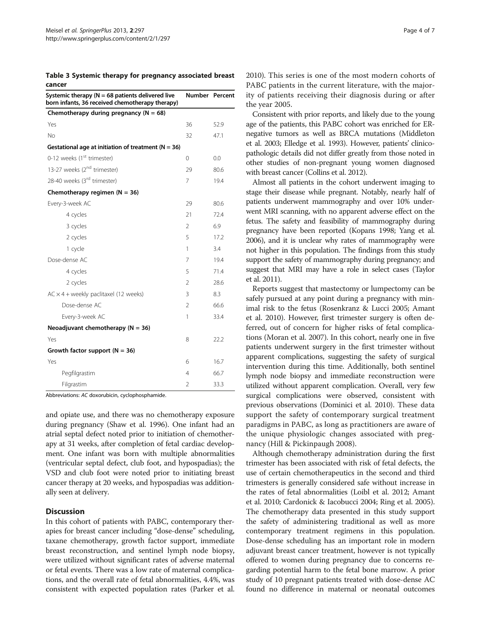<span id="page-3-0"></span>Table 3 Systemic therapy for pregnancy associated breast cancer

| Systemic therapy ( $N = 68$ patients delivered live<br>born infants, 36 received chemotherapy therapy) | Number Percent |      |
|--------------------------------------------------------------------------------------------------------|----------------|------|
| Chemotherapy during pregnancy ( $N = 68$ )                                                             |                |      |
| Yes                                                                                                    | 36             | 52.9 |
| <b>No</b>                                                                                              | 32             | 47.1 |
| Gestational age at initiation of treatment ( $N = 36$ )                                                |                |      |
| 0-12 weeks (1 <sup>st</sup> trimester)                                                                 | $\Omega$       | 0.0  |
| 13-27 weeks (2 <sup>nd</sup> trimester)                                                                | 29             | 80.6 |
| 28-40 weeks (3 <sup>rd</sup> trimester)                                                                | 7              | 19.4 |
| Chemotherapy regimen ( $N = 36$ )                                                                      |                |      |
| Every-3-week AC                                                                                        | 29             | 80.6 |
| 4 cycles                                                                                               | 21             | 72.4 |
| 3 cycles                                                                                               | $\mathfrak{D}$ | 6.9  |
| 2 cycles                                                                                               | 5              | 17.2 |
| 1 cycle                                                                                                | 1              | 3.4  |
| Dose-dense AC                                                                                          | 7              | 19.4 |
| 4 cycles                                                                                               | 5              | 71.4 |
| 2 cycles                                                                                               | $\mathfrak{D}$ | 28.6 |
| $AC \times 4 +$ weekly paclitaxel (12 weeks)                                                           | 3              | 8.3  |
| Dose-dense AC                                                                                          | $\mathfrak{D}$ | 66.6 |
| Every-3-week AC                                                                                        | 1              | 33.4 |
| Neoadjuvant chemotherapy ( $N = 36$ )                                                                  |                |      |
| Yes                                                                                                    | 8              | 22.2 |
| Growth factor support ( $N = 36$ )                                                                     |                |      |
| Yes                                                                                                    | 6              | 16.7 |
| Pegfilgrastim                                                                                          | 4              | 66.7 |
| Filgrastim                                                                                             | $\overline{2}$ | 33.3 |

Abbreviations: AC doxorubicin, cyclophosphamide.

and opiate use, and there was no chemotherapy exposure during pregnancy (Shaw et al. [1996](#page-6-0)). One infant had an atrial septal defect noted prior to initiation of chemotherapy at 31 weeks, after completion of fetal cardiac development. One infant was born with multiple abnormalities (ventricular septal defect, club foot, and hypospadias); the VSD and club foot were noted prior to initiating breast cancer therapy at 20 weeks, and hypospadias was additionally seen at delivery.

#### Discussion

In this cohort of patients with PABC, contemporary therapies for breast cancer including "dose-dense" scheduling, taxane chemotherapy, growth factor support, immediate breast reconstruction, and sentinel lymph node biopsy, were utilized without significant rates of adverse maternal or fetal events. There was a low rate of maternal complications, and the overall rate of fetal abnormalities, 4.4%, was consistent with expected population rates (Parker et al.

[2010](#page-6-0)). This series is one of the most modern cohorts of PABC patients in the current literature, with the majority of patients receiving their diagnosis during or after the year 2005.

Consistent with prior reports, and likely due to the young age of the patients, this PABC cohort was enriched for ERnegative tumors as well as BRCA mutations (Middleton et al. [2003;](#page-6-0) Elledge et al. [1993](#page-6-0)). However, patients' clinicopathologic details did not differ greatly from those noted in other studies of non-pregnant young women diagnosed with breast cancer (Collins et al. [2012\)](#page-6-0).

Almost all patients in the cohort underwent imaging to stage their disease while pregnant. Notably, nearly half of patients underwent mammography and over 10% underwent MRI scanning, with no apparent adverse effect on the fetus. The safety and feasibility of mammography during pregnancy have been reported (Kopans [1998](#page-6-0); Yang et al. [2006\)](#page-6-0), and it is unclear why rates of mammography were not higher in this population. The findings from this study support the safety of mammography during pregnancy; and suggest that MRI may have a role in select cases (Taylor et al. [2011](#page-6-0)).

Reports suggest that mastectomy or lumpectomy can be safely pursued at any point during a pregnancy with minimal risk to the fetus (Rosenkranz & Lucci [2005;](#page-6-0) Amant et al. [2010](#page-5-0)). However, first trimester surgery is often deferred, out of concern for higher risks of fetal complications (Moran et al. [2007](#page-6-0)). In this cohort, nearly one in five patients underwent surgery in the first trimester without apparent complications, suggesting the safety of surgical intervention during this time. Additionally, both sentinel lymph node biopsy and immediate reconstruction were utilized without apparent complication. Overall, very few surgical complications were observed, consistent with previous observations (Dominici et al. [2010](#page-6-0)). These data support the safety of contemporary surgical treatment paradigms in PABC, as long as practitioners are aware of the unique physiologic changes associated with pregnancy (Hill & Pickinpaugh [2008](#page-6-0)).

Although chemotherapy administration during the first trimester has been associated with risk of fetal defects, the use of certain chemotherapeutics in the second and third trimesters is generally considered safe without increase in the rates of fetal abnormalities (Loibl et al. [2012;](#page-6-0) Amant et al. [2010](#page-5-0); Cardonick & Iacobucci [2004;](#page-6-0) Ring et al. [2005](#page-6-0)). The chemotherapy data presented in this study support the safety of administering traditional as well as more contemporary treatment regimens in this population. Dose-dense scheduling has an important role in modern adjuvant breast cancer treatment, however is not typically offered to women during pregnancy due to concerns regarding potential harm to the fetal bone marrow. A prior study of 10 pregnant patients treated with dose-dense AC found no difference in maternal or neonatal outcomes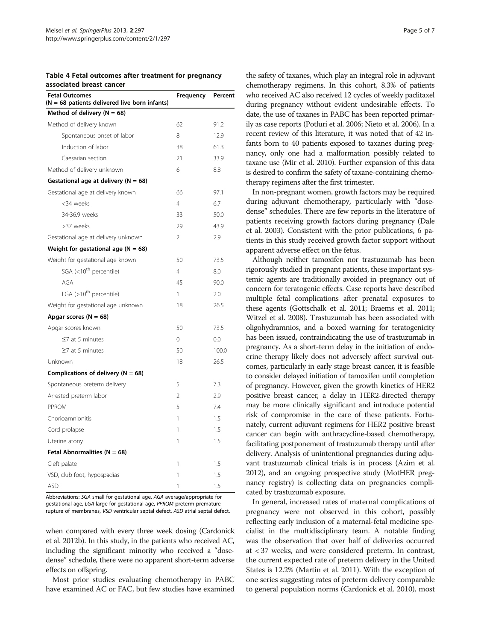<span id="page-4-0"></span>Table 4 Fetal outcomes after treatment for pregnancy associated breast cancer

| <b>Fetal Outcomes</b><br>$(N = 68$ patients delivered live born infants) | Frequency      | Percent |
|--------------------------------------------------------------------------|----------------|---------|
| Method of delivery ( $N = 68$ )                                          |                |         |
| Method of delivery known                                                 | 62             | 91.2    |
| Spontaneous onset of labor                                               | 8              | 12.9    |
| Induction of labor                                                       | 38             | 61.3    |
| Caesarian section                                                        | 21             | 33.9    |
| Method of delivery unknown                                               | 6              | 8.8     |
| Gestational age at delivery ( $N = 68$ )                                 |                |         |
| Gestational age at delivery known                                        | 66             | 97.1    |
| <34 weeks                                                                | $\overline{4}$ | 6.7     |
| 34-36.9 weeks                                                            | 33             | 50.0    |
| >37 weeks                                                                | 29             | 43.9    |
|                                                                          |                | 2.9     |
| Gestational age at delivery unknown                                      | $\overline{2}$ |         |
| Weight for gestational age ( $N = 68$ )                                  | 50             | 73.5    |
| Weight for gestational age known                                         |                |         |
| SGA (<10 <sup>th</sup> percentile)                                       | $\overline{4}$ | 8.0     |
| AGA                                                                      | 45             | 90.0    |
| LGA (>10 <sup>th</sup> percentile)                                       | 1              | 2.0     |
| Weight for gestational age unknown                                       | 18             | 26.5    |
| Apgar scores ( $N = 68$ )                                                |                |         |
| Apgar scores known                                                       | 50             | 73.5    |
| $\leq$ 7 at 5 minutes                                                    | $\Omega$       | 0.0     |
| $\geq$ 7 at 5 minutes                                                    | 50             | 100.0   |
| Unknown                                                                  | 18             | 26.5    |
| Complications of delivery ( $N = 68$ )                                   |                |         |
| Spontaneous preterm delivery                                             | 5              | 7.3     |
| Arrested preterm labor                                                   | $\mathfrak{D}$ | 2.9     |
| PPROM                                                                    | 5              | 7.4     |
| Chorioamnionitis                                                         | 1              | 1.5     |
| Cord prolapse                                                            | 1              | 1.5     |
| Uterine atony                                                            | 1              | 1.5     |
| Fetal Abnormalities ( $N = 68$ )                                         |                |         |
| Cleft palate                                                             | 1              | 1.5     |
| VSD, club foot, hypospadias                                              | 1              | 1.5     |
| <b>ASD</b>                                                               | 1              | 1.5     |

Abbreviations: SGA small for gestational age, AGA average/appropriate for gestational age, LGA large for gestational age, PPROM preterm premature rupture of membranes, VSD ventricular septal defect, ASD atrial septal defect.

when compared with every three week dosing (Cardonick et al. [2012b\)](#page-6-0). In this study, in the patients who received AC, including the significant minority who received a "dosedense" schedule, there were no apparent short-term adverse effects on offspring.

Most prior studies evaluating chemotherapy in PABC have examined AC or FAC, but few studies have examined

the safety of taxanes, which play an integral role in adjuvant chemotherapy regimens. In this cohort, 8.3% of patients who received AC also received 12 cycles of weekly paclitaxel during pregnancy without evident undesirable effects. To date, the use of taxanes in PABC has been reported primarily as case reports (Potluri et al. [2006](#page-6-0); Nieto et al. [2006\)](#page-6-0). In a recent review of this literature, it was noted that of 42 infants born to 40 patients exposed to taxanes during pregnancy, only one had a malformation possibly related to taxane use (Mir et al. [2010](#page-6-0)). Further expansion of this data is desired to confirm the safety of taxane-containing chemotherapy regimens after the first trimester.

In non-pregnant women, growth factors may be required during adjuvant chemotherapy, particularly with "dosedense" schedules. There are few reports in the literature of patients receiving growth factors during pregnancy (Dale et al. [2003](#page-6-0)). Consistent with the prior publications, 6 patients in this study received growth factor support without apparent adverse effect on the fetus.

Although neither tamoxifen nor trastuzumab has been rigorously studied in pregnant patients, these important systemic agents are traditionally avoided in pregnancy out of concern for teratogenic effects. Case reports have described multiple fetal complications after prenatal exposures to these agents (Gottschalk et al. [2011](#page-6-0); Braems et al. [2011](#page-6-0); Witzel et al. [2008\)](#page-6-0). Trastuzumab has been associated with oligohydramnios, and a boxed warning for teratogenicity has been issued, contraindicating the use of trastuzumab in pregnancy. As a short-term delay in the initiation of endocrine therapy likely does not adversely affect survival outcomes, particularly in early stage breast cancer, it is feasible to consider delayed initiation of tamoxifen until completion of pregnancy. However, given the growth kinetics of HER2 positive breast cancer, a delay in HER2-directed therapy may be more clinically significant and introduce potential risk of compromise in the care of these patients. Fortunately, current adjuvant regimens for HER2 positive breast cancer can begin with anthracycline-based chemotherapy, facilitating postponement of trastuzumab therapy until after delivery. Analysis of unintentional pregnancies during adjuvant trastuzumab clinical trials is in process (Azim et al. [2012\)](#page-6-0), and an ongoing prospective study (MotHER pregnancy registry) is collecting data on pregnancies complicated by trastuzumab exposure.

In general, increased rates of maternal complications of pregnancy were not observed in this cohort, possibly reflecting early inclusion of a maternal-fetal medicine specialist in the multidisciplinary team. A notable finding was the observation that over half of deliveries occurred at < 37 weeks, and were considered preterm. In contrast, the current expected rate of preterm delivery in the United States is 12.2% (Martin et al. [2011\)](#page-6-0). With the exception of one series suggesting rates of preterm delivery comparable to general population norms (Cardonick et al. [2010\)](#page-6-0), most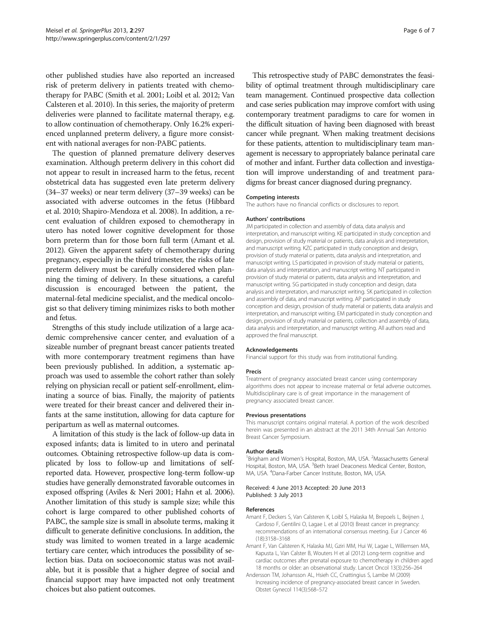<span id="page-5-0"></span>other published studies have also reported an increased risk of preterm delivery in patients treated with chemotherapy for PABC (Smith et al. [2001](#page-6-0); Loibl et al. [2012](#page-6-0); Van Calsteren et al. [2010\)](#page-6-0). In this series, the majority of preterm deliveries were planned to facilitate maternal therapy, e.g. to allow continuation of chemotherapy. Only 16.2% experienced unplanned preterm delivery, a figure more consistent with national averages for non-PABC patients.

The question of planned premature delivery deserves examination. Although preterm delivery in this cohort did not appear to result in increased harm to the fetus, recent obstetrical data has suggested even late preterm delivery (34–37 weeks) or near term delivery (37–39 weeks) can be associated with adverse outcomes in the fetus (Hibbard et al. [2010](#page-6-0); Shapiro-Mendoza et al. [2008](#page-6-0)). In addition, a recent evaluation of children exposed to chemotherapy in utero has noted lower cognitive development for those born preterm than for those born full term (Amant et al. 2012). Given the apparent safety of chemotherapy during pregnancy, especially in the third trimester, the risks of late preterm delivery must be carefully considered when planning the timing of delivery. In these situations, a careful discussion is encouraged between the patient, the maternal-fetal medicine specialist, and the medical oncologist so that delivery timing minimizes risks to both mother and fetus.

Strengths of this study include utilization of a large academic comprehensive cancer center, and evaluation of a sizeable number of pregnant breast cancer patients treated with more contemporary treatment regimens than have been previously published. In addition, a systematic approach was used to assemble the cohort rather than solely relying on physician recall or patient self-enrollment, eliminating a source of bias. Finally, the majority of patients were treated for their breast cancer and delivered their infants at the same institution, allowing for data capture for peripartum as well as maternal outcomes.

A limitation of this study is the lack of follow-up data in exposed infants; data is limited to in utero and perinatal outcomes. Obtaining retrospective follow-up data is complicated by loss to follow-up and limitations of selfreported data. However, prospective long-term follow-up studies have generally demonstrated favorable outcomes in exposed offspring (Aviles & Neri [2001](#page-6-0); Hahn et al. [2006](#page-6-0)). Another limitation of this study is sample size; while this cohort is large compared to other published cohorts of PABC, the sample size is small in absolute terms, making it difficult to generate definitive conclusions. In addition, the study was limited to women treated in a large academic tertiary care center, which introduces the possibility of selection bias. Data on socioeconomic status was not available, but it is possible that a higher degree of social and financial support may have impacted not only treatment choices but also patient outcomes.

This retrospective study of PABC demonstrates the feasibility of optimal treatment through multidisciplinary care team management. Continued prospective data collection and case series publication may improve comfort with using contemporary treatment paradigms to care for women in the difficult situation of having been diagnosed with breast cancer while pregnant. When making treatment decisions for these patients, attention to multidisciplinary team management is necessary to appropriately balance perinatal care of mother and infant. Further data collection and investigation will improve understanding of and treatment paradigms for breast cancer diagnosed during pregnancy.

#### Competing interests

The authors have no financial conflicts or disclosures to report.

#### Authors' contributions

JM participated in collection and assembly of data, data analysis and interpretation, and manuscript writing. KE participated in study conception and design, provision of study material or patients, data analysis and interpretation, and manuscript writing. KZC participated in study conception and design, provision of study material or patients, data analysis and interpretation, and manuscript writing. LS participated in provision of study material or patients, data analysis and interpretation, and manuscript writing. NT participated in provision of study material or patients, data analysis and interpretation, and manuscript writing. SG participated in study conception and design, data analysis and interpretation, and manuscript writing. SK participated in collection and assembly of data, and manuscript writing. AP participated in study conception and design, provision of study material or patients, data analysis and interpretation, and manuscript writing. EM participated in study conception and design, provision of study material or patients, collection and assembly of data, data analysis and interpretation, and manuscript writing. All authors read and approved the final manuscript.

#### Acknowledgements

Financial support for this study was from institutional funding.

#### Precis

Treatment of pregnancy associated breast cancer using contemporary algorithms does not appear to increase maternal or fetal adverse outcomes. Multidisciplinary care is of great importance in the management of pregnancy associated breast cancer.

#### Previous presentations

This manuscript contains original material. A portion of the work described herein was presented in an abstract at the 2011 34th Annual San Antonio Breast Cancer Symposium.

#### Author details

<sup>1</sup> Brigham and Women's Hospital, Boston, MA, USA. <sup>2</sup> Massachusetts General Hospital, Boston, MA, USA. <sup>3</sup>Beth Israel Deaconess Medical Center, Boston, MA, USA. <sup>4</sup> Dana-Farber Cancer Institute, Boston, MA, USA.

#### Received: 4 June 2013 Accepted: 20 June 2013 Published: 3 July 2013

#### References

- Amant F, Deckers S, Van Calsteren K, Loibl S, Halaska M, Brepoels L, Beijnen J, Cardoso F, Gentilini O, Lagae L et al (2010) Breast cancer in pregnancy: recommendations of an international consensus meeting. Eur J Cancer 46 (18):3158–3168
- Amant F, Van Calsteren K, Halaska MJ, Gziri MM, Hui W, Lagae L, Willemsen MA, Kapusta L, Van Calster B, Wouters H et al (2012) Long-term cognitive and cardiac outcomes after prenatal exposure to chemotherapy in children aged 18 months or older: an observational study. Lancet Oncol 13(3):256–264
- Andersson TM, Johansson AL, Hsieh CC, Cnattingius S, Lambe M (2009) Increasing incidence of pregnancy-associated breast cancer in Sweden. Obstet Gynecol 114(3):568–572